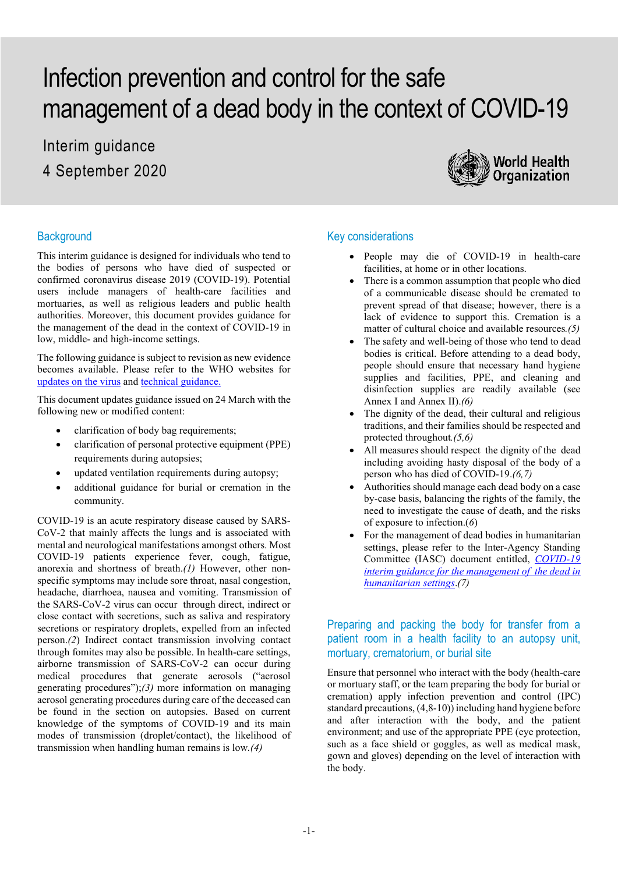# Infection prevention and control for the safe management of a dead body in the context of COVID-19

Interim guidance 4 September 2020



#### **Background**

This interim guidance is designed for individuals who tend to the bodies of persons who have died of suspected or confirmed coronavirus disease 2019 (COVID-19). Potential users include managers of health-care facilities and mortuaries, as well as religious leaders and public health authorities. Moreover, this document provides guidance for the management of the dead in the context of COVID-19 in low, middle- and high-income settings.

The following guidance is subject to revision as new evidence becomes available. Please refer to the WHO websites for [updates on the virus](https://www.who.int/emergencies/diseases/novel-coronavirus-2019) an[d technical guidance.](https://www.who.int/emergencies/diseases/novel-coronavirus-2019/technical-guidance)

This document updates guidance issued on 24 March with the following new or modified content:

- clarification of body bag requirements;
- clarification of personal protective equipment (PPE) requirements during autopsies;
- updated ventilation requirements during autopsy;
- additional guidance for burial or cremation in the community.

COVID-19 is an acute respiratory disease caused by SARS-CoV-2 that mainly affects the lungs and is associated with mental and neurological manifestations amongst others. Most COVID-19 patients experience fever, cough, fatigue, anorexia and shortness of breath.*(1)* However, other nonspecific symptoms may include sore throat, nasal congestion, headache, diarrhoea, nausea and vomiting. Transmission of the SARS-CoV-2 virus can occur through direct, indirect or close contact with secretions, such as saliva and respiratory secretions or respiratory droplets, expelled from an infected person.*(2*) Indirect contact transmission involving contact through fomites may also be possible. In health-care settings, airborne transmission of SARS-CoV-2 can occur during medical procedures that generate aerosols ("aerosol generating procedures");*(3)* more information on managing aerosol generating procedures during care of the deceased can be found in the section on autopsies. Based on current knowledge of the symptoms of COVID-19 and its main modes of transmission (droplet/contact), the likelihood of transmission when handling human remains is low*.(4)*

#### Key considerations

- People may die of COVID-19 in health-care facilities, at home or in other locations.
- There is a common assumption that people who died of a communicable disease should be cremated to prevent spread of that disease; however, there is a lack of evidence to support this. Cremation is a matter of cultural choice and available resources*.(5)*
- The safety and well-being of those who tend to dead bodies is critical. Before attending to a dead body, people should ensure that necessary hand hygiene supplies and facilities, PPE, and cleaning and disinfection supplies are readily available (see Annex I and Annex II).*(6)*
- The dignity of the dead, their cultural and religious traditions, and their families should be respected and protected throughout*.(5,6)*
- All measures should respect the dignity of the dead including avoiding hasty disposal of the body of a person who has died of COVID-19.*(6,7)*
- Authorities should manage each dead body on a case by-case basis, balancing the rights of the family, the need to investigate the cause of death, and the risks of exposure to infection.(*6*)
- For the management of dead bodies in humanitarian settings, please refer to the Inter-Agency Standing Committee (IASC) document entitled, *[COVID-19](https://interagencystandingcommittee.org/system/files/2020-07/Interagency%20COVID-19%20Guidance%20for%20the%20Management%20of%20the%20Dead%20in%20Humanitarian%20Settings%20%28July%202020%29.pdf)  [interim guidance for the management of the dead in](https://interagencystandingcommittee.org/system/files/2020-07/Interagency%20COVID-19%20Guidance%20for%20the%20Management%20of%20the%20Dead%20in%20Humanitarian%20Settings%20%28July%202020%29.pdf)  [humanitarian settings](https://interagencystandingcommittee.org/system/files/2020-07/Interagency%20COVID-19%20Guidance%20for%20the%20Management%20of%20the%20Dead%20in%20Humanitarian%20Settings%20%28July%202020%29.pdf)*.*(7)*

## Preparing and packing the body for transfer from a patient room in a health facility to an autopsy unit, mortuary, crematorium, or burial site

Ensure that personnel who interact with the body (health-care or mortuary staff, or the team preparing the body for burial or cremation) apply infection prevention and control (IPC) standard precautions, (4,8-10)) including hand hygiene before and after interaction with the body, and the patient environment; and use of the appropriate PPE (eye protection, such as a face shield or goggles, as well as medical mask, gown and gloves) depending on the level of interaction with the body.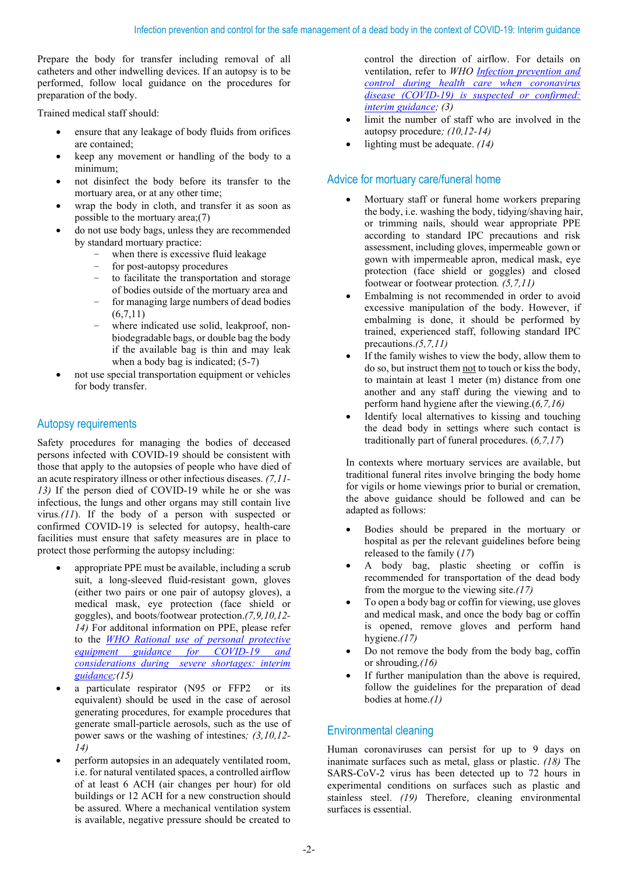Prepare the body for transfer including removal of all catheters and other indwelling devices. If an autopsy is to be performed, follow local guidance on the procedures for preparation of the body.

Trained medical staff should:

- ensure that any leakage of body fluids from orifices are contained;
- keep any movement or handling of the body to a minimum;
- not disinfect the body before its transfer to the mortuary area, or at any other time;
- wrap the body in cloth, and transfer it as soon as possible to the mortuary area;(7)
- do not use body bags, unless they are recommended by standard mortuary practice:
	- when there is excessive fluid leakage
	- for post-autopsy procedures
	- to facilitate the transportation and storage of bodies outside of the mortuary area and
	- for managing large numbers of dead bodies (6,7,11)
	- where indicated use solid, leakproof, nonbiodegradable bags, or double bag the body if the available bag is thin and may leak when a body bag is indicated; (5-7)
- not use special transportation equipment or vehicles for body transfer.

## Autopsy requirements

Safety procedures for managing the bodies of deceased persons infected with COVID-19 should be consistent with those that apply to the autopsies of people who have died of an acute respiratory illness or other infectious diseases. *(7,11- 13)* If the person died of COVID-19 while he or she was infectious, the lungs and other organs may still contain live virus*.(11*). If the body of a person with suspected or confirmed COVID-19 is selected for autopsy, health-care facilities must ensure that safety measures are in place to protect those performing the autopsy including:

- appropriate PPE must be available, including a scrub suit, a long-sleeved fluid-resistant gown, gloves (either two pairs or one pair of autopsy gloves), a medical mask, eye protection (face shield or goggles), and boots/footwear protection.*(7,9,10,12- 14)* For additonal information on PPE, please refer to the *[WHO Rational use of personal](https://www.who.int/publications/i/item/rational-use-of-personal-protective-equipment-for-coronavirus-disease-(covid-19)-and-considerations-during-severe-shortages) protective [equipment guidance for COVID-19 and](https://www.who.int/publications/i/item/rational-use-of-personal-protective-equipment-for-coronavirus-disease-(covid-19)-and-considerations-during-severe-shortages)  [considerations during severe shortages: interim](https://www.who.int/publications/i/item/rational-use-of-personal-protective-equipment-for-coronavirus-disease-(covid-19)-and-considerations-during-severe-shortages)  [guidance;](https://www.who.int/publications/i/item/rational-use-of-personal-protective-equipment-for-coronavirus-disease-(covid-19)-and-considerations-during-severe-shortages)(15)*
- a particulate respirator (N95 or FFP2 or its equivalent) should be used in the case of aerosol generating procedures, for example procedures that generate small-particle aerosols, such as the use of power saws or the washing of intestines*; (3,10,12- 14)*
- perform autopsies in an adequately ventilated room, i.e. for natural ventilated spaces, a controlled airflow of at least 6 ACH (air changes per hour) for old buildings or 12 ACH for a new construction should be assured. Where a mechanical ventilation system is available, negative pressure should be created to

control the direction of airflow. For details on ventilation, refer to *WHO [Infection prevention and](https://apps.who.int/iris/handle/10665/332879)  [control during health care when coronavirus](https://apps.who.int/iris/handle/10665/332879)  disease (COVID-19) [is suspected or confirmed:](https://apps.who.int/iris/handle/10665/332879) [interim guidance;](https://apps.who.int/iris/handle/10665/332879) (3)*

- limit the number of staff who are involved in the autopsy procedure*; (10,12-14)*
- lighting must be adequate. *(14)*

# Advice for mortuary care/funeral home

- Mortuary staff or funeral home workers preparing the body, i.e. washing the body, tidying/shaving hair, or trimming nails, should wear appropriate PPE according to standard IPC precautions and risk assessment, including gloves, impermeable gown or gown with impermeable apron, medical mask, eye protection (face shield or goggles) and closed footwear or footwear protection*. (5,7,11)*
- Embalming is not recommended in order to avoid excessive manipulation of the body. However, if embalming is done, it should be performed by trained, experienced staff, following standard IPC precautions.*(5,7,11)*
- If the family wishes to view the body, allow them to do so, but instruct them not to touch or kiss the body, to maintain at least 1 meter (m) distance from one another and any staff during the viewing and to perform hand hygiene after the viewing.(*6,7,16)*
- Identify local alternatives to kissing and touching the dead body in settings where such contact is traditionally part of funeral procedures. (*6,7,17*)

In contexts where mortuary services are available, but traditional funeral rites involve bringing the body home for vigils or home viewings prior to burial or cremation, the above guidance should be followed and can be adapted as follows:

- Bodies should be prepared in the mortuary or hospital as per the relevant guidelines before being released to the family (*17*)
- A body bag, plastic sheeting or coffin is recommended for transportation of the dead body from the morgue to the viewing site.*(17)*
- To open a body bag or coffin for viewing, use gloves and medical mask, and once the body bag or coffin is opened, remove gloves and perform hand hygiene.*(17)*
- Do not remove the body from the body bag, coffin or shrouding*,(16)*
- If further manipulation than the above is required, follow the guidelines for the preparation of dead bodies at home.*(1)*

# Environmental cleaning

Human coronaviruses can persist for up to 9 days on inanimate surfaces such as metal, glass or plastic. *(18)* The SARS-CoV-2 virus has been detected up to 72 hours in experimental conditions on surfaces such as plastic and stainless steel. *(19)* Therefore, cleaning environmental surfaces is essential.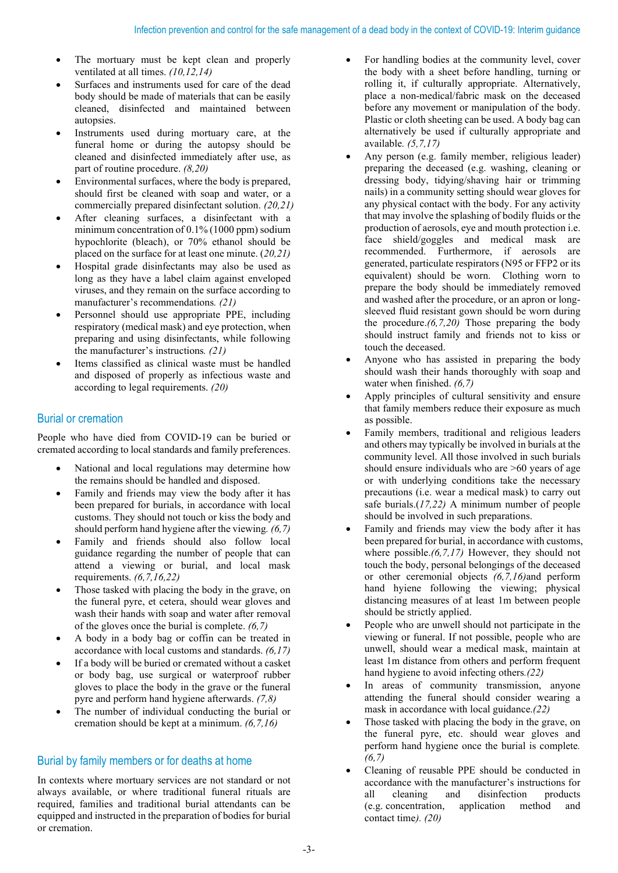- The mortuary must be kept clean and properly ventilated at all times. *(10,12,14)*
- Surfaces and instruments used for care of the dead body should be made of materials that can be easily cleaned, disinfected and maintained between autopsies.
- Instruments used during mortuary care, at the funeral home or during the autopsy should be cleaned and disinfected immediately after use, as part of routine procedure. *(8,20)*
- Environmental surfaces, where the body is prepared, should first be cleaned with soap and water, or a commercially prepared disinfectant solution. *(20,21)*
- After cleaning surfaces, a disinfectant with a minimum concentration of 0.1% (1000 ppm) sodium hypochlorite (bleach), or 70% ethanol should be placed on the surface for at least one minute. (*20,21)*
- Hospital grade disinfectants may also be used as long as they have a label claim against enveloped viruses, and they remain on the surface according to manufacturer's recommendations*. (21)*
- Personnel should use appropriate PPE, including respiratory (medical mask) and eye protection, when preparing and using disinfectants, while following the manufacturer's instructions*. (21)*
- Items classified as clinical waste must be handled and disposed of properly as infectious waste and according to legal requirements. *(20)*

#### Burial or cremation

People who have died from COVID-19 can be buried or cremated according to local standards and family preferences.

- National and local regulations may determine how the remains should be handled and disposed.
- Family and friends may view the body after it has been prepared for burials, in accordance with local customs. They should not touch or kiss the body and should perform hand hygiene after the viewing*. (6,7)*
- Family and friends should also follow local guidance regarding the number of people that can attend a viewing or burial, and local mask requirements. *(6,7,16,22)*
- Those tasked with placing the body in the grave, on the funeral pyre, et cetera, should wear gloves and wash their hands with soap and water after removal of the gloves once the burial is complete. *(6,7)*
- A body in a body bag or coffin can be treated in accordance with local customs and standards. *(6,17)*
- If a body will be buried or cremated without a casket or body bag, use surgical or waterproof rubber gloves to place the body in the grave or the funeral pyre and perform hand hygiene afterwards. *(7,8)*
- The number of individual conducting the burial or cremation should be kept at a minimum. *(6,7,16)*

## Burial by family members or for deaths at home

In contexts where mortuary services are not standard or not always available, or where traditional funeral rituals are required, families and traditional burial attendants can be equipped and instructed in the preparation of bodies for burial or cremation.

- For handling bodies at the community level, cover the body with a sheet before handling, turning or rolling it, if culturally appropriate. Alternatively, place a non-medical/fabric mask on the deceased before any movement or manipulation of the body. Plastic or cloth sheeting can be used. A body bag can alternatively be used if culturally appropriate and available*. (5,7,17)*
- Any person (e.g. family member, religious leader) preparing the deceased (e.g. washing, cleaning or dressing body, tidying/shaving hair or trimming nails) in a community setting should wear gloves for any physical contact with the body. For any activity that may involve the splashing of bodily fluids or the production of aerosols, eye and mouth protection i.e. face shield/goggles and medical mask are recommended. Furthermore, if aerosols are generated, particulate respirators (N95 or FFP2 or its equivalent) should be worn. Clothing worn to prepare the body should be immediately removed and washed after the procedure, or an apron or longsleeved fluid resistant gown should be worn during the procedure.*(6,7,20)* Those preparing the body should instruct family and friends not to kiss or touch the deceased.
- Anyone who has assisted in preparing the body should wash their hands thoroughly with soap and water when finished. *(6,7)*
- Apply principles of cultural sensitivity and ensure that family members reduce their exposure as much as possible.
- Family members, traditional and religious leaders and others may typically be involved in burials at the community level. All those involved in such burials should ensure individuals who are >60 years of age or with underlying conditions take the necessary precautions (i.e. wear a medical mask) to carry out safe burials.(*17,22)* A minimum number of people should be involved in such preparations.
- Family and friends may view the body after it has been prepared for burial, in accordance with customs, where possible.*(6,7,17)* However, they should not touch the body, personal belongings of the deceased or other ceremonial objects *(6,7,16)*and perform hand hyiene following the viewing; physical distancing measures of at least 1m between people should be strictly applied.
- People who are unwell should not participate in the viewing or funeral. If not possible, people who are unwell, should wear a medical mask, maintain at least 1m distance from others and perform frequent hand hygiene to avoid infecting others*.(22)*
- In areas of community transmission, anyone attending the funeral should consider wearing a mask in accordance with local guidance.*(22)*
- Those tasked with placing the body in the grave, on the funeral pyre, etc. should wear gloves and perform hand hygiene once the burial is complete*. (6,7)*
- Cleaning of reusable PPE should be conducted in accordance with the manufacturer's instructions for all cleaning and disinfection products (e.g. concentration, application method and contact time*). (20)*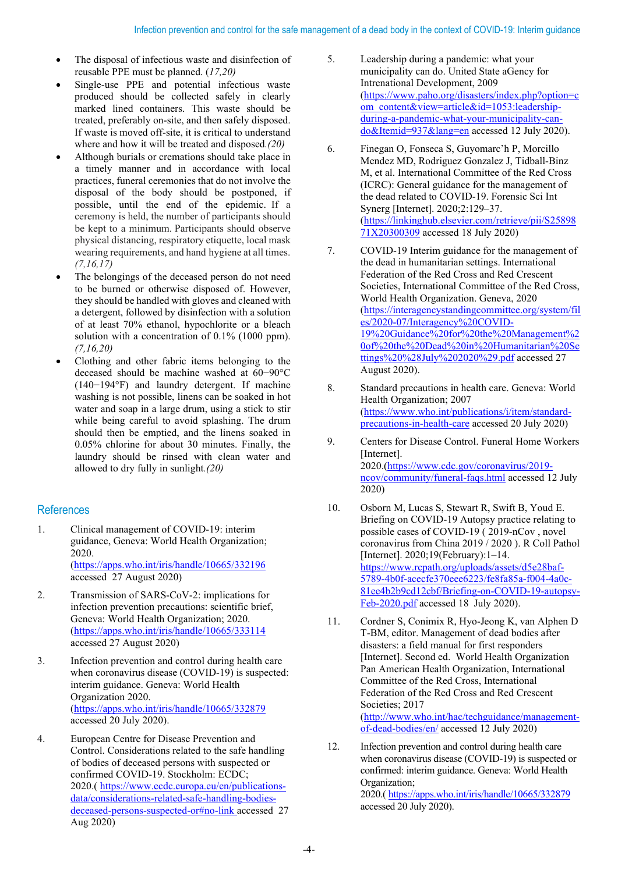- The disposal of infectious waste and disinfection of reusable PPE must be planned. (*17,20)*
- Single-use PPE and potential infectious waste produced should be collected safely in clearly marked lined containers. This waste should be treated, preferably on-site, and then safely disposed. If waste is moved off-site, it is critical to understand where and how it will be treated and disposed*.(20)*
- Although burials or cremations should take place in a timely manner and in accordance with local practices, funeral ceremonies that do not involve the disposal of the body should be postponed, if possible, until the end of the epidemic. If a ceremony is held, the number of participants should be kept to a minimum. Participants should observe physical distancing, respiratory etiquette, local mask wearing requirements, and hand hygiene at all times. *(7,16,17)*
- The belongings of the deceased person do not need to be burned or otherwise disposed of. However, they should be handled with gloves and cleaned with a detergent, followed by disinfection with a solution of at least 70% ethanol, hypochlorite or a bleach solution with a concentration of 0.1% (1000 ppm). *(7,16,20)*
- Clothing and other fabric items belonging to the deceased should be machine washed at 60−90°C (140−194°F) and laundry detergent. If machine washing is not possible, linens can be soaked in hot water and soap in a large drum, using a stick to stir while being careful to avoid splashing. The drum should then be emptied, and the linens soaked in 0.05% chlorine for about 30 minutes. Finally, the laundry should be rinsed with clean water and allowed to dry fully in sunlight*.(20)*

## References

- 1. Clinical management of COVID-19: interim guidance, Geneva: World Health Organization; 2020. [\(https://apps.who.int/iris/handle/10665/332196](https://apps.who.int/iris/handle/10665/332196) accessed 27 August 2020)
- 2. Transmission of SARS-CoV-2: implications for infection prevention precautions: scientific brief, Geneva: World Health Organization; 2020. [\(https://apps.who.int/iris/handle/10665/333114](https://apps.who.int/iris/handle/10665/333114)  accessed 27 August 2020)
- 3. Infection prevention and control during health care when coronavirus disease (COVID-19) is suspected: interim guidance. Geneva: World Health Organization 2020. [\(https://apps.who.int/iris/handle/10665/332879](https://apps.who.int/iris/handle/10665/332879) accessed 20 July 2020).
- 4. European Centre for Disease Prevention and Control. Considerations related to the safe handling of bodies of deceased persons with suspected or confirmed COVID-19. Stockholm: ECDC; 2020.( [https://www.ecdc.europa.eu/en/publications](https://www.ecdc.europa.eu/en/publications-data/considerations-related-safe-handling-bodies-deceased-persons-suspected-or%23no-link)[data/considerations-related-safe-handling-bodies](https://www.ecdc.europa.eu/en/publications-data/considerations-related-safe-handling-bodies-deceased-persons-suspected-or%23no-link)[deceased-persons-suspected-or#no-link a](https://www.ecdc.europa.eu/en/publications-data/considerations-related-safe-handling-bodies-deceased-persons-suspected-or%23no-link)ccessed 27 Aug 2020)
- 5. Leadership during a pandemic: what your municipality can do. United State aGency for Intrenational Development, 2009 [\(https://www.paho.org/disasters/index.php?option=c](https://www.paho.org/disasters/index.php?option=com_content&view=article&id=1053:leadership-during-a-pandemic-what-your-municipality-can-do&Itemid=937&lang=en) [om\\_content&view=article&id=1053:leadership](https://www.paho.org/disasters/index.php?option=com_content&view=article&id=1053:leadership-during-a-pandemic-what-your-municipality-can-do&Itemid=937&lang=en)[during-a-pandemic-what-your-municipality-can](https://www.paho.org/disasters/index.php?option=com_content&view=article&id=1053:leadership-during-a-pandemic-what-your-municipality-can-do&Itemid=937&lang=en)[do&Itemid=937&lang=en](https://www.paho.org/disasters/index.php?option=com_content&view=article&id=1053:leadership-during-a-pandemic-what-your-municipality-can-do&Itemid=937&lang=en) accessed 12 July 2020).
- 6. Finegan O, Fonseca S, Guyomarc'h P, Morcillo Mendez MD, Rodriguez Gonzalez J, Tidball-Binz M, et al. International Committee of the Red Cross (ICRC): General guidance for the management of the dead related to COVID-19. Forensic Sci Int Synerg [Internet]. 2020;2:129–37. [\(https://linkinghub.elsevier.com/retrieve/pii/S25898](https://linkinghub.elsevier.com/retrieve/pii/S2589871X20300309) [71X20300309](https://linkinghub.elsevier.com/retrieve/pii/S2589871X20300309) accessed 18 July 2020)
- 7. COVID-19 Interim guidance for the management of the dead in humanitarian settings. International Federation of the Red Cross and Red Crescent Societies, International Committee of the Red Cross, World Health Organization. Geneva, 2020 [\(https://interagencystandingcommittee.org/system/fil](https://interagencystandingcommittee.org/system/files/2020-07/Interagency%20COVID-19%20Guidance%20for%20the%20Management%20of%20the%20Dead%20in%20Humanitarian%20Settings%20%28July%202020%29.pdf) [es/2020-07/Interagency%20COVID-](https://interagencystandingcommittee.org/system/files/2020-07/Interagency%20COVID-19%20Guidance%20for%20the%20Management%20of%20the%20Dead%20in%20Humanitarian%20Settings%20%28July%202020%29.pdf)[19%20Guidance%20for%20the%20Management%2](https://interagencystandingcommittee.org/system/files/2020-07/Interagency%20COVID-19%20Guidance%20for%20the%20Management%20of%20the%20Dead%20in%20Humanitarian%20Settings%20%28July%202020%29.pdf) [0of%20the%20Dead%20in%20Humanitarian%20Se](https://interagencystandingcommittee.org/system/files/2020-07/Interagency%20COVID-19%20Guidance%20for%20the%20Management%20of%20the%20Dead%20in%20Humanitarian%20Settings%20%28July%202020%29.pdf) [ttings%20%28July%202020%29.pdf](https://interagencystandingcommittee.org/system/files/2020-07/Interagency%20COVID-19%20Guidance%20for%20the%20Management%20of%20the%20Dead%20in%20Humanitarian%20Settings%20%28July%202020%29.pdf) accessed 27 August 2020).
- 8. Standard precautions in health care. Geneva: World Health Organization; 2007 [\(https://www.who.int/publications/i/item/standard](https://www.who.int/publications/i/item/standard-precautions-in-health-care)[precautions-in-health-care](https://www.who.int/publications/i/item/standard-precautions-in-health-care) accessed 20 July 2020)
- 9. Centers for Disease Control. Funeral Home Workers [Internet]. 2020.[\(https://www.cdc.gov/coronavirus/2019](https://www.cdc.gov/coronavirus/2019-ncov/community/funeral-faqs.html) [ncov/community/funeral-faqs.html](https://www.cdc.gov/coronavirus/2019-ncov/community/funeral-faqs.html) accessed 12 July 2020)
- 10. Osborn M, Lucas S, Stewart R, Swift B, Youd E. Briefing on COVID-19 Autopsy practice relating to possible cases of COVID-19 ( 2019-nCov , novel coronavirus from China 2019 / 2020 ). R Coll Pathol [Internet]. 2020;19(February):1–14. [https://www.rcpath.org/uploads/assets/d5e28baf-](https://www.rcpath.org/uploads/assets/d5e28baf-5789-4b0f-acecfe370eee6223/fe8fa85a-f004-4a0c-81ee4b2b9cd12cbf/Briefing-on-COVID-19-autopsy-Feb-2020.pdf)[5789-4b0f-acecfe370eee6223/fe8fa85a-f004-4a0c-](https://www.rcpath.org/uploads/assets/d5e28baf-5789-4b0f-acecfe370eee6223/fe8fa85a-f004-4a0c-81ee4b2b9cd12cbf/Briefing-on-COVID-19-autopsy-Feb-2020.pdf)[81ee4b2b9cd12cbf/Briefing-on-COVID-19-autopsy-](https://www.rcpath.org/uploads/assets/d5e28baf-5789-4b0f-acecfe370eee6223/fe8fa85a-f004-4a0c-81ee4b2b9cd12cbf/Briefing-on-COVID-19-autopsy-Feb-2020.pdf)[Feb-2020.pdf](https://www.rcpath.org/uploads/assets/d5e28baf-5789-4b0f-acecfe370eee6223/fe8fa85a-f004-4a0c-81ee4b2b9cd12cbf/Briefing-on-COVID-19-autopsy-Feb-2020.pdf) accessed 18 July 2020).
- 11. Cordner S, Conimix R, Hyo-Jeong K, van Alphen D T-BM, editor. Management of dead bodies after disasters: a field manual for first responders [Internet]. Second ed. World Health Organization Pan American Health Organization, International Committee of the Red Cross, International Federation of the Red Cross and Red Crescent Societies; 2017 [\(http://www.who.int/hac/techguidance/management](http://www.who.int/hac/techguidance/management-of-dead-bodies/en/)[of-dead-bodies/en/](http://www.who.int/hac/techguidance/management-of-dead-bodies/en/) accessed 12 July 2020)
- 12. Infection prevention and control during health care when coronavirus disease (COVID-19) is suspected or confirmed: interim guidance. Geneva: World Health Organization; 2020.[\( https://apps.who.int/iris/handle/10665/332879](https://apps.who.int/iris/handle/10665/332879) accessed 20 July 2020).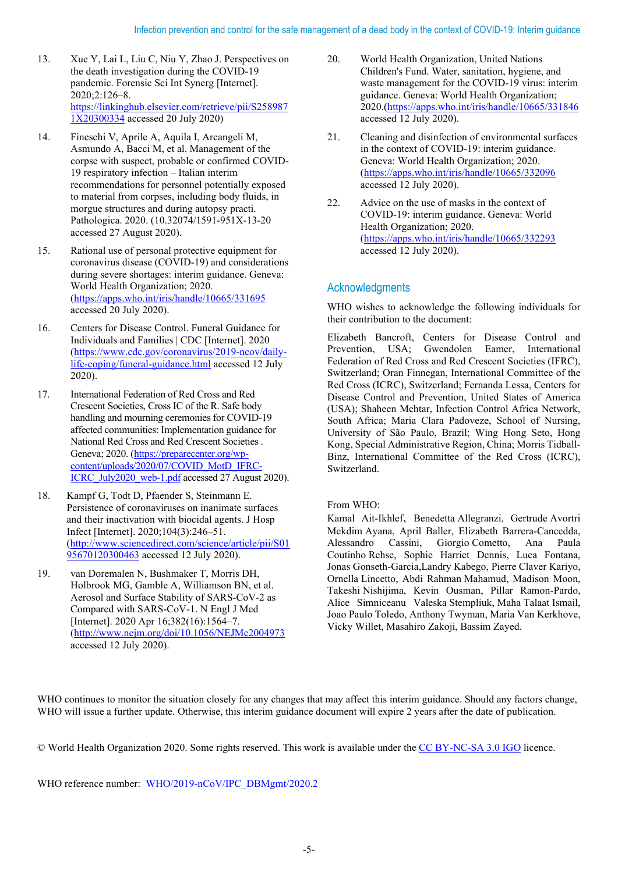- 13. Xue Y, Lai L, Liu C, Niu Y, Zhao J. Perspectives on the death investigation during the COVID-19 pandemic. Forensic Sci Int Synerg [Internet]. 2020;2:126–8. [https://linkinghub.elsevier.com/retrieve/pii/S258987](https://linkinghub.elsevier.com/retrieve/pii/S2589871X20300334) [1X20300334](https://linkinghub.elsevier.com/retrieve/pii/S2589871X20300334) accessed 20 July 2020)
- 14. Fineschi V, Aprile A, Aquila I, Arcangeli M, Asmundo A, Bacci M, et al. Management of the corpse with suspect, probable or confirmed COVID-19 respiratory infection – Italian interim recommendations for personnel potentially exposed to material from corpses, including body fluids, in morgue structures and during autopsy practi. Pathologica. 2020. (10.32074/1591-951X-13-20 accessed 27 August 2020).
- 15. Rational use of personal protective equipment for coronavirus disease (COVID-19) and considerations during severe shortages: interim guidance. Geneva: World Health Organization; 2020. [\(https://apps.who.int/iris/handle/10665/331695](https://apps.who.int/iris/handle/10665/331695) accessed 20 July 2020).
- 16. Centers for Disease Control. Funeral Guidance for Individuals and Families | CDC [Internet]. 2020 [\(https://www.cdc.gov/coronavirus/2019-ncov/daily](https://www.cdc.gov/coronavirus/2019-ncov/daily-life-coping/funeral-guidance.html)[life-coping/funeral-guidance.html](https://www.cdc.gov/coronavirus/2019-ncov/daily-life-coping/funeral-guidance.html) accessed 12 July 2020).
- 17. International Federation of Red Cross and Red Crescent Societies, Cross IC of the R. Safe body handling and mourning ceremonies for COVID-19 affected communities: Implementation guidance for National Red Cross and Red Crescent Societies . Geneva; 2020. [\(https://preparecenter.org/wp](https://preparecenter.org/wp-content/uploads/2020/07/COVID_MotD_IFRC-ICRC_July2020_web-1.pdf)[content/uploads/2020/07/COVID\\_MotD\\_IFRC-](https://preparecenter.org/wp-content/uploads/2020/07/COVID_MotD_IFRC-ICRC_July2020_web-1.pdf)ICRC July2020 web-1.pdf accessed 27 August 2020).
- 18. Kampf G, Todt D, Pfaender S, Steinmann E. Persistence of coronaviruses on inanimate surfaces and their inactivation with biocidal agents. J Hosp Infect [Internet]. 2020;104(3):246–51. [\(http://www.sciencedirect.com/science/article/pii/S01](http://www.sciencedirect.com/science/article/pii/S0195670120300463) [95670120300463](http://www.sciencedirect.com/science/article/pii/S0195670120300463) accessed 12 July 2020).
- 19. van Doremalen N, Bushmaker T, Morris DH, Holbrook MG, Gamble A, Williamson BN, et al. Aerosol and Surface Stability of SARS-CoV-2 as Compared with SARS-CoV-1. N Engl J Med [Internet]. 2020 Apr 16;382(16):1564-7. [\(http://www.nejm.org/doi/10.1056/NEJMc2004973](http://www.nejm.org/doi/10.1056/NEJMc2004973) accessed 12 July 2020).
- 20. World Health Organization, United Nations Children's Fund. Water, sanitation, hygiene, and waste management for the COVID-19 virus: interim guidance. Geneva: World Health Organization; 2020.[\(https://apps.who.int/iris/handle/10665/331846](https://apps.who.int/iris/handle/10665/331846) accessed 12 July 2020).
- 21. Cleaning and disinfection of environmental surfaces in the context of COVID-19: interim guidance. Geneva: World Health Organization; 2020. [\(https://apps.who.int/iris/handle/10665/332096](https://apps.who.int/iris/handle/10665/332096) accessed 12 July 2020).
- 22. Advice on the use of masks in the context of COVID-19: interim guidance. Geneva: World Health Organization; 2020. [\(https://apps.who.int/iris/handle/10665/332293](https://apps.who.int/iris/handle/10665/332293) accessed 12 July 2020).

# Acknowledgments

WHO wishes to acknowledge the following individuals for their contribution to the document:

Elizabeth Bancroft, Centers for Disease Control and Prevention, USA; Gwendolen Eamer, International Federation of Red Cross and Red Crescent Societies (IFRC), Switzerland; Oran Finnegan, International Committee of the Red Cross (ICRC), Switzerland; Fernanda Lessa, Centers for Disease Control and Prevention, United States of America (USA); Shaheen Mehtar, Infection Control Africa Network, South Africa; Maria Clara Padoveze, School of Nursing, University of São Paulo, Brazil; Wing Hong Seto, Hong Kong, Special Administrative Region, China; Morris Tidball-Binz, International Committee of the Red Cross (ICRC), Switzerland.

#### From WHO:

Kamal Ait-Ikhlef, Benedetta Allegranzi, Gertrude Avortri Mekdim Ayana, April Baller, Elizabeth Barrera-Cancedda, Alessandro Cassini, Giorgio Cometto, Ana Paula Coutinho Rehse, Sophie Harriet Dennis, Luca Fontana, Jonas Gonseth-Garcia,Landry Kabego, Pierre Claver Kariyo, Ornella Lincetto, Abdi Rahman Mahamud, Madison Moon, Takeshi Nishijima, Kevin Ousman, Pillar Ramon-Pardo, Alice Simniceanu Valeska Stempliuk, Maha Talaat Ismail, Joao Paulo Toledo, Anthony Twyman, Maria Van Kerkhove, Vicky Willet, Masahiro Zakoji, Bassim Zayed.

WHO continues to monitor the situation closely for any changes that may affect this interim guidance. Should any factors change, WHO will issue a further update. Otherwise, this interim guidance document will expire 2 years after the date of publication.

© World Health Organization 2020. Some rights reserved. This work is available under th[e CC BY-NC-SA 3.0 IGO](https://creativecommons.org/licenses/by-nc-sa/3.0/igo) licence.

WHO reference number: WHO/2019-nCoV/IPC\_DBMgmt/2020.2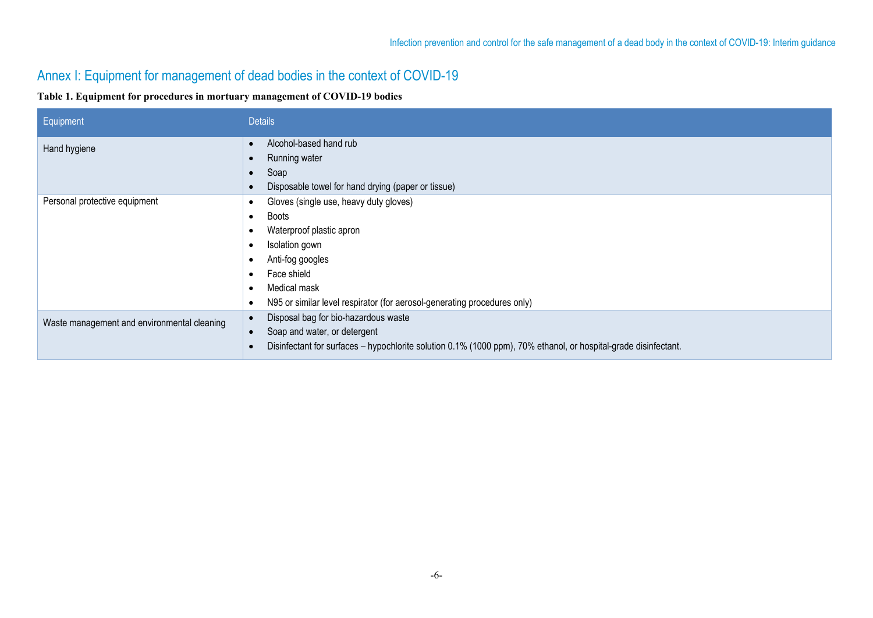# Annex I: Equipment for management of dead bodies in the context of COVID-19

#### **Table 1. Equipment for procedures in mortuary management of COVID-19 bodies**

| Equipment                                   | <b>Details</b>                                                                                                                                                                                                               |
|---------------------------------------------|------------------------------------------------------------------------------------------------------------------------------------------------------------------------------------------------------------------------------|
| Hand hygiene                                | Alcohol-based hand rub<br>Running water<br>Soap<br>Disposable towel for hand drying (paper or tissue)                                                                                                                        |
| Personal protective equipment               | Gloves (single use, heavy duty gloves)<br>Boots<br>Waterproof plastic apron<br>Isolation gown<br>Anti-fog googles<br>Face shield<br>Medical mask<br>N95 or similar level respirator (for aerosol-generating procedures only) |
| Waste management and environmental cleaning | Disposal bag for bio-hazardous waste<br>Soap and water, or detergent<br>Disinfectant for surfaces - hypochlorite solution 0.1% (1000 ppm), 70% ethanol, or hospital-grade disinfectant.                                      |